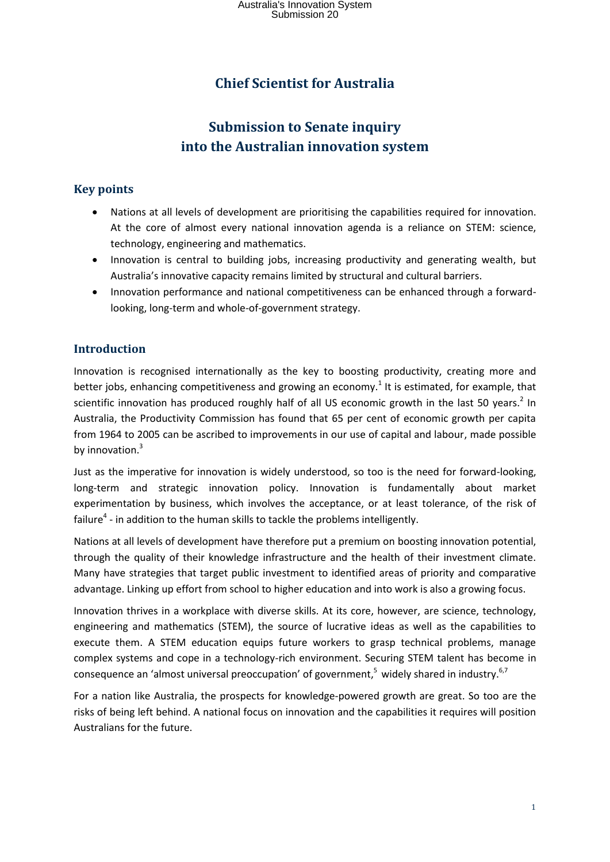# **Chief Scientist for Australia**

# **Submission to Senate inquiry into the Australian innovation system**

## **Key points**

- Nations at all levels of development are prioritising the capabilities required for innovation. At the core of almost every national innovation agenda is a reliance on STEM: science, technology, engineering and mathematics.
- Innovation is central to building jobs, increasing productivity and generating wealth, but Australia's innovative capacity remains limited by structural and cultural barriers.
- Innovation performance and national competitiveness can be enhanced through a forwardlooking, long-term and whole-of-government strategy.

# **Introduction**

Innovation is recognised internationally as the key to boosting productivity, creating more and better jobs, enhancing competitiveness and growing an economy.<sup>1</sup> It is estimated, for example, that scientific innovation has produced roughly half of all US economic growth in the last 50 years.<sup>2</sup> In Australia, the Productivity Commission has found that 65 per cent of economic growth per capita from 1964 to 2005 can be ascribed to improvements in our use of capital and labour, made possible by innovation.<sup>3</sup>

Just as the imperative for innovation is widely understood, so too is the need for forward-looking, long-term and strategic innovation policy. Innovation is fundamentally about market experimentation by business, which involves the acceptance, or at least tolerance, of the risk of failure<sup>4</sup> - in addition to the human skills to tackle the problems intelligently.

Nations at all levels of development have therefore put a premium on boosting innovation potential, through the quality of their knowledge infrastructure and the health of their investment climate. Many have strategies that target public investment to identified areas of priority and comparative advantage. Linking up effort from school to higher education and into work is also a growing focus.

Innovation thrives in a workplace with diverse skills. At its core, however, are science, technology, engineering and mathematics (STEM), the source of lucrative ideas as well as the capabilities to execute them. A STEM education equips future workers to grasp technical problems, manage complex systems and cope in a technology-rich environment. Securing STEM talent has become in consequence an 'almost universal preoccupation' of government,<sup>5</sup> widely shared in industry.<sup>6,7</sup>

For a nation like Australia, the prospects for knowledge-powered growth are great. So too are the risks of being left behind. A national focus on innovation and the capabilities it requires will position Australians for the future.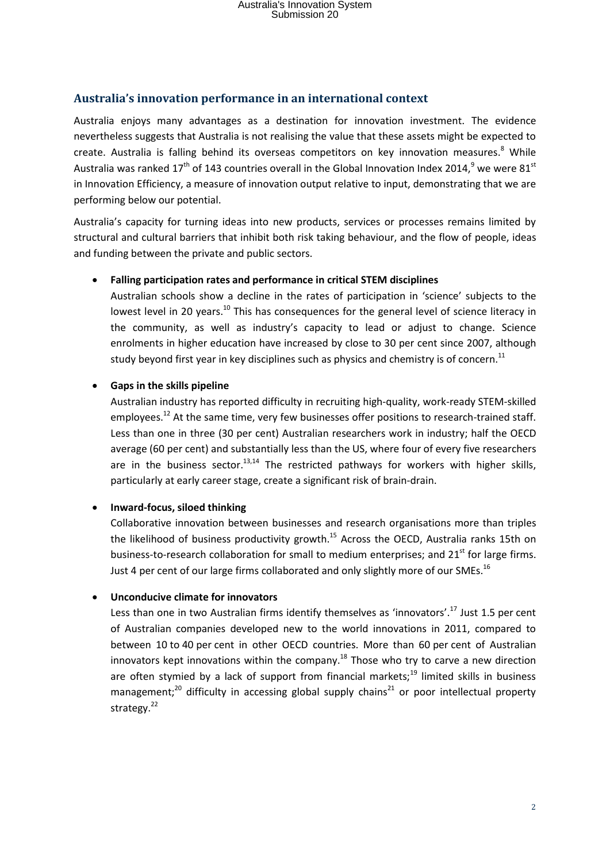### **Australia's innovation performance in an international context**

Australia enjoys many advantages as a destination for innovation investment. The evidence nevertheless suggests that Australia is not realising the value that these assets might be expected to create. Australia is falling behind its overseas competitors on key innovation measures.<sup>8</sup> While Australia was ranked 17<sup>th</sup> of 143 countries overall in the Global Innovation Index 2014,<sup>9</sup> we were 81<sup>st</sup> in Innovation Efficiency, a measure of innovation output relative to input, demonstrating that we are performing below our potential.

Australia's capacity for turning ideas into new products, services or processes remains limited by structural and cultural barriers that inhibit both risk taking behaviour, and the flow of people, ideas and funding between the private and public sectors.

#### **Falling participation rates and performance in critical STEM disciplines**

Australian schools show a decline in the rates of participation in 'science' subjects to the lowest level in 20 years.<sup>10</sup> This has consequences for the general level of science literacy in the community, as well as industry's capacity to lead or adjust to change. Science enrolments in higher education have increased by close to 30 per cent since 2007, although study beyond first year in key disciplines such as physics and chemistry is of concern.<sup>11</sup>

#### **Gaps in the skills pipeline**

Australian industry has reported difficulty in recruiting high-quality, work-ready STEM-skilled employees.<sup>12</sup> At the same time, very few businesses offer positions to research-trained staff. Less than one in three (30 per cent) Australian researchers work in industry; half the OECD average (60 per cent) and substantially less than the US, where four of every five researchers are in the business sector.<sup>13,14</sup> The restricted pathways for workers with higher skills, particularly at early career stage, create a significant risk of brain-drain.

#### **Inward-focus, siloed thinking**

Collaborative innovation between businesses and research organisations more than triples the likelihood of business productivity growth.<sup>15</sup> Across the OECD, Australia ranks 15th on business-to-research collaboration for small to medium enterprises; and  $21<sup>st</sup>$  for large firms. Just 4 per cent of our large firms collaborated and only slightly more of our SMEs.<sup>16</sup>

#### **Unconducive climate for innovators**

Less than one in two Australian firms identify themselves as 'innovators'.<sup>17</sup> Just 1.5 per cent of Australian companies developed new to the world innovations in 2011, compared to between 10 to 40 per cent in other OECD countries. More than 60 per cent of Australian innovators kept innovations within the company.<sup>18</sup> Those who try to carve a new direction are often stymied by a lack of support from financial markets;<sup>19</sup> limited skills in business management:<sup>20</sup> difficulty in accessing global supply chains<sup>21</sup> or poor intellectual property strategy.<sup>22</sup>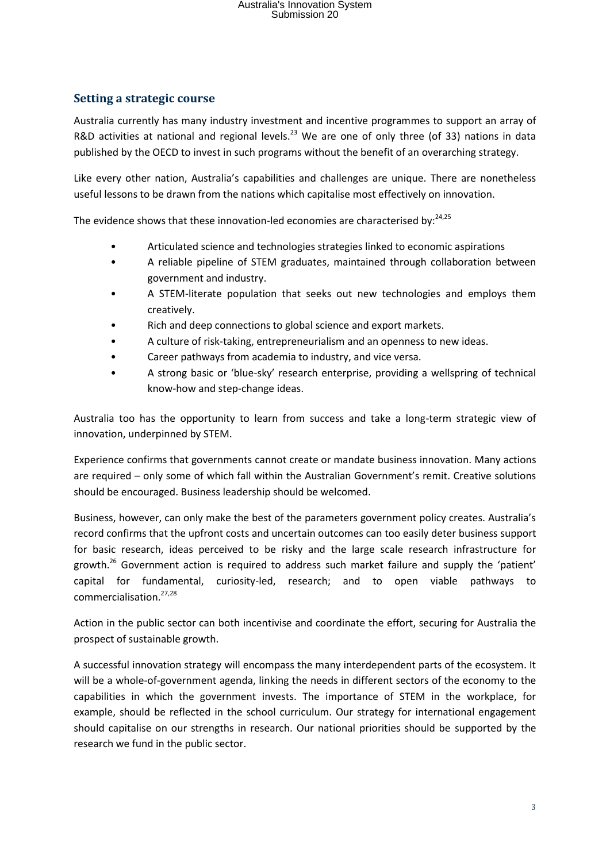# Australia's Innovation System Submission 20

#### **Setting a strategic course**

Australia currently has many industry investment and incentive programmes to support an array of R&D activities at national and regional levels.<sup>23</sup> We are one of only three (of 33) nations in data published by the OECD to invest in such programs without the benefit of an overarching strategy.

Like every other nation, Australia's capabilities and challenges are unique. There are nonetheless useful lessons to be drawn from the nations which capitalise most effectively on innovation.

The evidence shows that these innovation-led economies are characterised by: $24,25$ 

- Articulated science and technologies strategies linked to economic aspirations
- A reliable pipeline of STEM graduates, maintained through collaboration between government and industry.
- A STEM-literate population that seeks out new technologies and employs them creatively.
- Rich and deep connections to global science and export markets.
- A culture of risk-taking, entrepreneurialism and an openness to new ideas.
- Career pathways from academia to industry, and vice versa.
- A strong basic or 'blue-sky' research enterprise, providing a wellspring of technical know-how and step-change ideas.

Australia too has the opportunity to learn from success and take a long-term strategic view of innovation, underpinned by STEM.

Experience confirms that governments cannot create or mandate business innovation. Many actions are required – only some of which fall within the Australian Government's remit. Creative solutions should be encouraged. Business leadership should be welcomed.

Business, however, can only make the best of the parameters government policy creates. Australia's record confirms that the upfront costs and uncertain outcomes can too easily deter business support for basic research, ideas perceived to be risky and the large scale research infrastructure for growth.<sup>26</sup> Government action is required to address such market failure and supply the 'patient' capital for fundamental, curiosity-led, research; and to open viable pathways to commercialisation.27,28

Action in the public sector can both incentivise and coordinate the effort, securing for Australia the prospect of sustainable growth.

A successful innovation strategy will encompass the many interdependent parts of the ecosystem. It will be a whole-of-government agenda, linking the needs in different sectors of the economy to the capabilities in which the government invests. The importance of STEM in the workplace, for example, should be reflected in the school curriculum. Our strategy for international engagement should capitalise on our strengths in research. Our national priorities should be supported by the research we fund in the public sector.